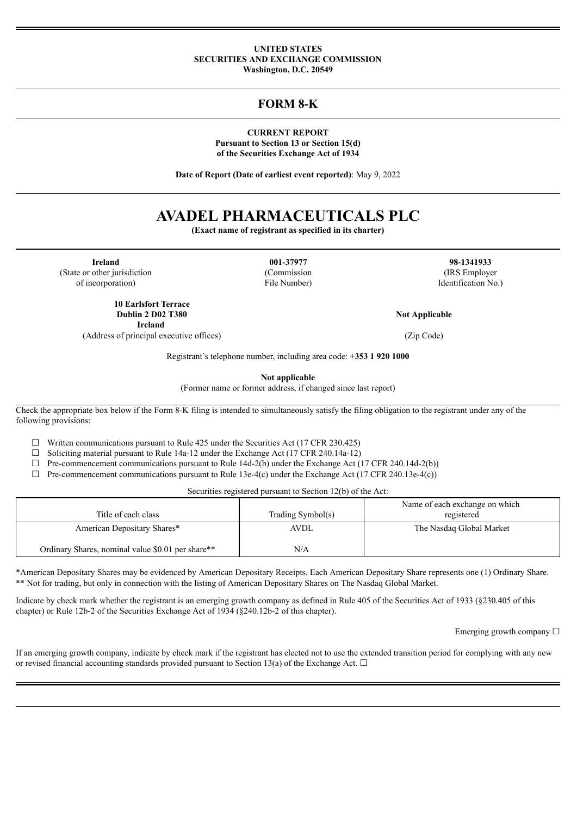#### **UNITED STATES SECURITIES AND EXCHANGE COMMISSION Washington, D.C. 20549**

# **FORM 8-K**

**CURRENT REPORT Pursuant to Section 13 or Section 15(d) of the Securities Exchange Act of 1934**

**Date of Report (Date of earliest event reported)**: May 9, 2022

# **AVADEL PHARMACEUTICALS PLC**

**(Exact name of registrant as specified in its charter)**

(State or other jurisdiction (Commission (IRS Employer

**Ireland 001-37977 98-1341933** of incorporation) File Number) Identification No.)

**Not Applicable**

(Address of principal executive offices) (Zip Code)

**10 Earlsfort Terrace Dublin 2 D02 T380 Ireland**

Registrant's telephone number, including area code: **+353 1 920 1000**

**Not applicable**

(Former name or former address, if changed since last report)

Check the appropriate box below if the Form 8-K filing is intended to simultaneously satisfy the filing obligation to the registrant under any of the following provisions:

 $\Box$  Written communications pursuant to Rule 425 under the Securities Act (17 CFR 230.425)

☐ Soliciting material pursuant to Rule 14a-12 under the Exchange Act (17 CFR 240.14a-12)

 $\Box$  Pre-commencement communications pursuant to Rule 14d-2(b) under the Exchange Act (17 CFR 240.14d-2(b))

 $\Box$  Pre-commencement communications pursuant to Rule 13e-4(c) under the Exchange Act (17 CFR 240.13e-4(c))

Securities registered pursuant to Section 12(b) of the Act:

| Title of each class                               | Trading Symbol(s) | Name of each exchange on which<br>registered |
|---------------------------------------------------|-------------------|----------------------------------------------|
| American Depositary Shares*                       | <b>AVDL</b>       | The Nasdaq Global Market                     |
| Ordinary Shares, nominal value \$0.01 per share** | N/A               |                                              |

\*American Depositary Shares may be evidenced by American Depositary Receipts. Each American Depositary Share represents one (1) Ordinary Share. \*\* Not for trading, but only in connection with the listing of American Depositary Shares on The Nasdaq Global Market.

Indicate by check mark whether the registrant is an emerging growth company as defined in Rule 405 of the Securities Act of 1933 (§230.405 of this chapter) or Rule 12b-2 of the Securities Exchange Act of 1934 (§240.12b-2 of this chapter).

Emerging growth company  $\Box$ 

If an emerging growth company, indicate by check mark if the registrant has elected not to use the extended transition period for complying with any new or revised financial accounting standards provided pursuant to Section 13(a) of the Exchange Act.  $\Box$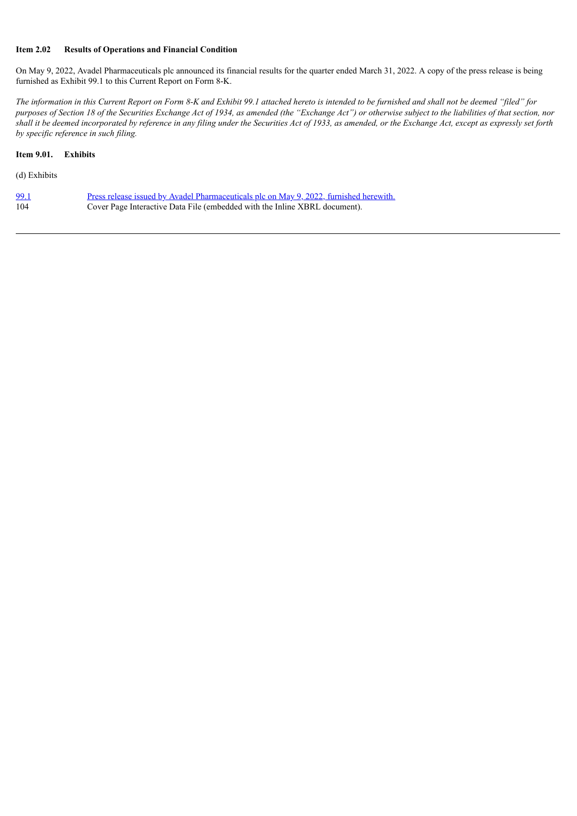## **Item 2.02 Results of Operations and Financial Condition**

On May 9, 2022, Avadel Pharmaceuticals plc announced its financial results for the quarter ended March 31, 2022. A copy of the press release is being furnished as Exhibit 99.1 to this Current Report on Form 8-K.

The information in this Current Report on Form 8-K and Exhibit 99.1 attached hereto is intended to be furnished and shall not be deemed "filed" for purposes of Section 18 of the Securities Exchange Act of 1934, as amended (the "Exchange Act") or otherwise subject to the liabilities of that section, nor shall it be deemed incorporated by reference in any filing under the Securities Act of 1933, as amended, or the Exchange Act, except as expressly set forth *by specific reference in such filing.*

# **Item 9.01. Exhibits**

(d) Exhibits

| <u>99.1</u> | <u>Press release issued by Avadel Pharmaceuticals plc on May 9, 2022, furnished herewith.</u> |
|-------------|-----------------------------------------------------------------------------------------------|
| 104         | Cover Page Interactive Data File (embedded with the Inline XBRL document).                    |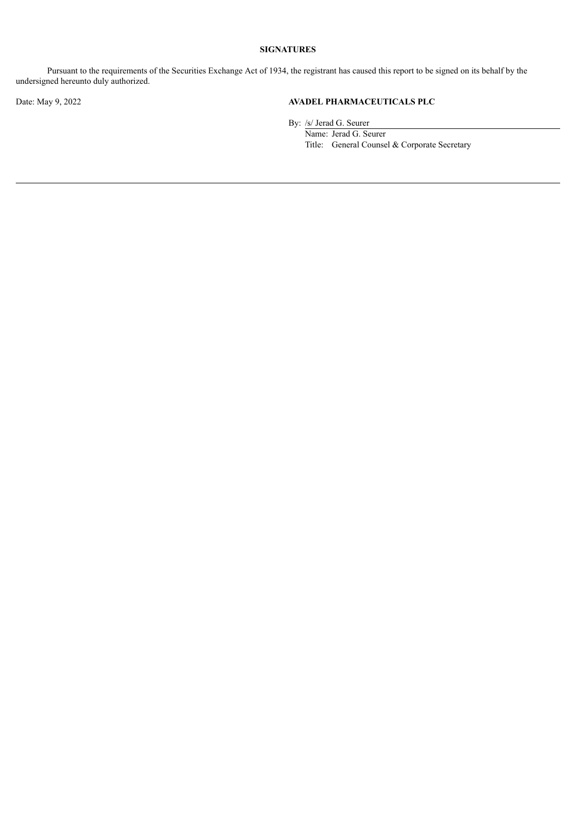# **SIGNATURES**

Pursuant to the requirements of the Securities Exchange Act of 1934, the registrant has caused this report to be signed on its behalf by the undersigned hereunto duly authorized.

# Date: May 9, 2022 **AVADEL PHARMACEUTICALS PLC**

By: /s/ Jerad G. Seurer

Name: Jerad G. Seurer Title: General Counsel & Corporate Secretary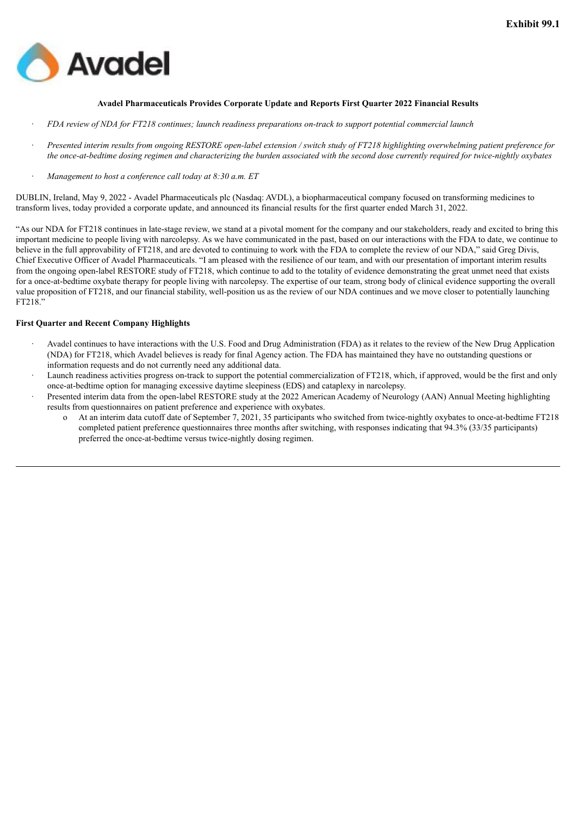<span id="page-3-0"></span>

#### **Avadel Pharmaceuticals Provides Corporate Update and Reports First Quarter 2022 Financial Results**

- FDA review of NDA for FT218 continues; launch readiness preparations on-track to support potential commercial launch
- Presented interim results from ongoing RESTORE open-label extension / switch study of FT218 highlighting overwhelming patient preference for the once-at-bedtime dosing regimen and characterizing the burden associated with the second dose currently required for twice-nightly oxybates
- · *Management to host a conference call today at 8:30 a.m. ET*

DUBLIN, Ireland, May 9, 2022 - Avadel Pharmaceuticals plc (Nasdaq: AVDL), a biopharmaceutical company focused on transforming medicines to transform lives, today provided a corporate update, and announced its financial results for the first quarter ended March 31, 2022.

"As our NDA for FT218 continues in late-stage review, we stand at a pivotal moment for the company and our stakeholders, ready and excited to bring this important medicine to people living with narcolepsy. As we have communicated in the past, based on our interactions with the FDA to date, we continue to believe in the full approvability of FT218, and are devoted to continuing to work with the FDA to complete the review of our NDA," said Greg Divis, Chief Executive Officer of Avadel Pharmaceuticals. "I am pleased with the resilience of our team, and with our presentation of important interim results from the ongoing open-label RESTORE study of FT218, which continue to add to the totality of evidence demonstrating the great unmet need that exists for a once-at-bedtime oxybate therapy for people living with narcolepsy. The expertise of our team, strong body of clinical evidence supporting the overall value proposition of FT218, and our financial stability, well-position us as the review of our NDA continues and we move closer to potentially launching FT218."

#### **First Quarter and Recent Company Highlights**

- · Avadel continues to have interactions with the U.S. Food and Drug Administration (FDA) as it relates to the review of the New Drug Application (NDA) for FT218, which Avadel believes is ready for final Agency action. The FDA has maintained they have no outstanding questions or information requests and do not currently need any additional data.
- Launch readiness activities progress on-track to support the potential commercialization of FT218, which, if approved, would be the first and only once-at-bedtime option for managing excessive daytime sleepiness (EDS) and cataplexy in narcolepsy.
- Presented interim data from the open-label RESTORE study at the 2022 American Academy of Neurology (AAN) Annual Meeting highlighting results from questionnaires on patient preference and experience with oxybates.
	- o At an interim data cutoff date of September 7, 2021, 35 participants who switched from twice-nightly oxybates to once-at-bedtime FT218 completed patient preference questionnaires three months after switching, with responses indicating that 94.3% (33/35 participants) preferred the once-at-bedtime versus twice-nightly dosing regimen.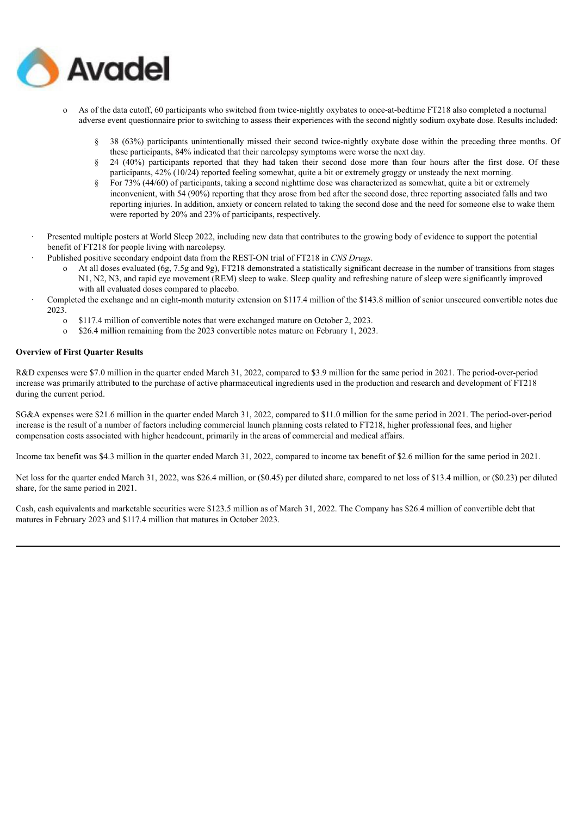

- o As of the data cutoff, 60 participants who switched from twice-nightly oxybates to once-at-bedtime FT218 also completed a nocturnal adverse event questionnaire prior to switching to assess their experiences with the second nightly sodium oxybate dose. Results included:
	- § 38 (63%) participants unintentionally missed their second twice-nightly oxybate dose within the preceding three months. Of these participants, 84% indicated that their narcolepsy symptoms were worse the next day.
	- § 24 (40%) participants reported that they had taken their second dose more than four hours after the first dose. Of these participants, 42% (10/24) reported feeling somewhat, quite a bit or extremely groggy or unsteady the next morning.
	- § For 73% (44/60) of participants, taking a second nighttime dose was characterized as somewhat, quite a bit or extremely inconvenient, with 54 (90%) reporting that they arose from bed after the second dose, three reporting associated falls and two reporting injuries. In addition, anxiety or concern related to taking the second dose and the need for someone else to wake them were reported by 20% and 23% of participants, respectively.
- · Presented multiple posters at World Sleep 2022, including new data that contributes to the growing body of evidence to support the potential benefit of FT218 for people living with narcolepsy.
- · Published positive secondary endpoint data from the REST-ON trial of FT218 in *CNS Drugs*.
	- o At all doses evaluated (6g, 7.5g and 9g), FT218 demonstrated a statistically significant decrease in the number of transitions from stages N1, N2, N3, and rapid eye movement (REM) sleep to wake. Sleep quality and refreshing nature of sleep were significantly improved with all evaluated doses compared to placebo.
- · Completed the exchange and an eight-month maturity extension on \$117.4 million of the \$143.8 million of senior unsecured convertible notes due 2023.
	- o \$117.4 million of convertible notes that were exchanged mature on October 2, 2023.
	- o \$26.4 million remaining from the 2023 convertible notes mature on February 1, 2023.

# **Overview of First Quarter Results**

R&D expenses were \$7.0 million in the quarter ended March 31, 2022, compared to \$3.9 million for the same period in 2021. The period-over-period increase was primarily attributed to the purchase of active pharmaceutical ingredients used in the production and research and development of FT218 during the current period.

SG&A expenses were \$21.6 million in the quarter ended March 31, 2022, compared to \$11.0 million for the same period in 2021. The period-over-period increase is the result of a number of factors including commercial launch planning costs related to FT218, higher professional fees, and higher compensation costs associated with higher headcount, primarily in the areas of commercial and medical affairs.

Income tax benefit was \$4.3 million in the quarter ended March 31, 2022, compared to income tax benefit of \$2.6 million for the same period in 2021.

Net loss for the quarter ended March 31, 2022, was \$26.4 million, or (\$0.45) per diluted share, compared to net loss of \$13.4 million, or (\$0.23) per diluted share, for the same period in 2021.

Cash, cash equivalents and marketable securities were \$123.5 million as of March 31, 2022. The Company has \$26.4 million of convertible debt that matures in February 2023 and \$117.4 million that matures in October 2023.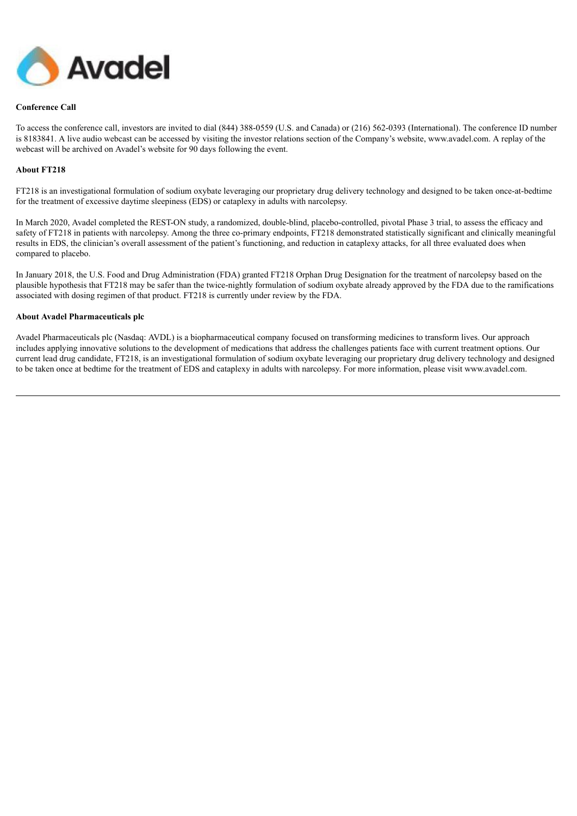

## **Conference Call**

To access the conference call, investors are invited to dial (844) 388-0559 (U.S. and Canada) or (216) 562-0393 (International). The conference ID number is 8183841. A live audio webcast can be accessed by visiting the investor relations section of the Company's website, www.avadel.com. A replay of the webcast will be archived on Avadel's website for 90 days following the event.

#### **About FT218**

FT218 is an investigational formulation of sodium oxybate leveraging our proprietary drug delivery technology and designed to be taken once-at-bedtime for the treatment of excessive daytime sleepiness (EDS) or cataplexy in adults with narcolepsy.

In March 2020, Avadel completed the REST-ON study, a randomized, double-blind, placebo-controlled, pivotal Phase 3 trial, to assess the efficacy and safety of FT218 in patients with narcolepsy. Among the three co-primary endpoints, FT218 demonstrated statistically significant and clinically meaningful results in EDS, the clinician's overall assessment of the patient's functioning, and reduction in cataplexy attacks, for all three evaluated does when compared to placebo.

In January 2018, the U.S. Food and Drug Administration (FDA) granted FT218 Orphan Drug Designation for the treatment of narcolepsy based on the plausible hypothesis that FT218 may be safer than the twice-nightly formulation of sodium oxybate already approved by the FDA due to the ramifications associated with dosing regimen of that product. FT218 is currently under review by the FDA.

#### **About Avadel Pharmaceuticals plc**

Avadel Pharmaceuticals plc (Nasdaq: AVDL) is a biopharmaceutical company focused on transforming medicines to transform lives. Our approach includes applying innovative solutions to the development of medications that address the challenges patients face with current treatment options. Our current lead drug candidate, FT218, is an investigational formulation of sodium oxybate leveraging our proprietary drug delivery technology and designed to be taken once at bedtime for the treatment of EDS and cataplexy in adults with narcolepsy. For more information, please visit www.avadel.com.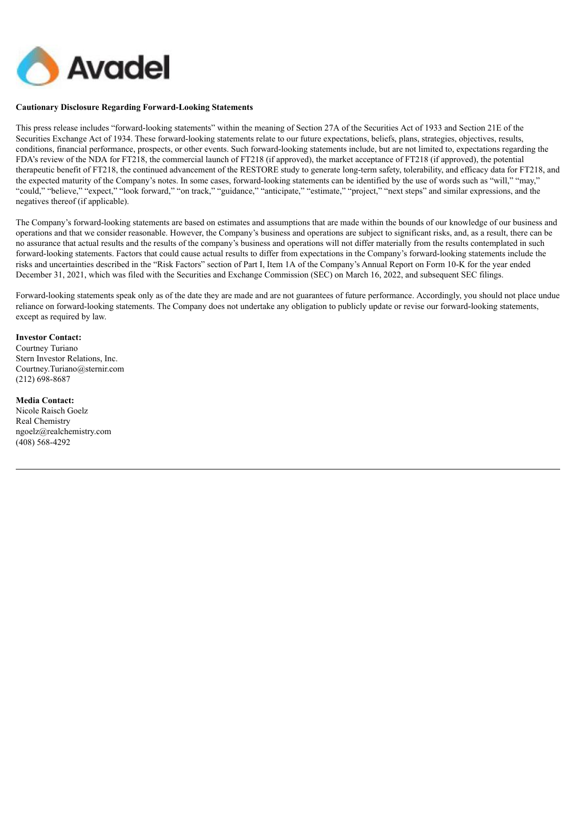

#### **Cautionary Disclosure Regarding Forward-Looking Statements**

This press release includes "forward-looking statements" within the meaning of Section 27A of the Securities Act of 1933 and Section 21E of the Securities Exchange Act of 1934. These forward-looking statements relate to our future expectations, beliefs, plans, strategies, objectives, results, conditions, financial performance, prospects, or other events. Such forward-looking statements include, but are not limited to, expectations regarding the FDA's review of the NDA for FT218, the commercial launch of FT218 (if approved), the market acceptance of FT218 (if approved), the potential therapeutic benefit of FT218, the continued advancement of the RESTORE study to generate long-term safety, tolerability, and efficacy data for FT218, and the expected maturity of the Company's notes. In some cases, forward-looking statements can be identified by the use of words such as "will," "may," "could," "believe," "expect," "look forward," "on track," "guidance," "anticipate," "estimate," "project," "next steps" and similar expressions, and the negatives thereof (if applicable).

The Company's forward-looking statements are based on estimates and assumptions that are made within the bounds of our knowledge of our business and operations and that we consider reasonable. However, the Company's business and operations are subject to significant risks, and, as a result, there can be no assurance that actual results and the results of the company's business and operations will not differ materially from the results contemplated in such forward-looking statements. Factors that could cause actual results to differ from expectations in the Company's forward-looking statements include the risks and uncertainties described in the "Risk Factors" section of Part I, Item 1A of the Company's Annual Report on Form 10-K for the year ended December 31, 2021, which was filed with the Securities and Exchange Commission (SEC) on March 16, 2022, and subsequent SEC filings.

Forward-looking statements speak only as of the date they are made and are not guarantees of future performance. Accordingly, you should not place undue reliance on forward-looking statements. The Company does not undertake any obligation to publicly update or revise our forward-looking statements, except as required by law.

#### **Investor Contact:**

Courtney Turiano Stern Investor Relations, Inc. Courtney.Turiano@sternir.com (212) 698-8687

#### **Media Contact:**

Nicole Raisch Goelz Real Chemistry ngoelz@realchemistry.com (408) 568-4292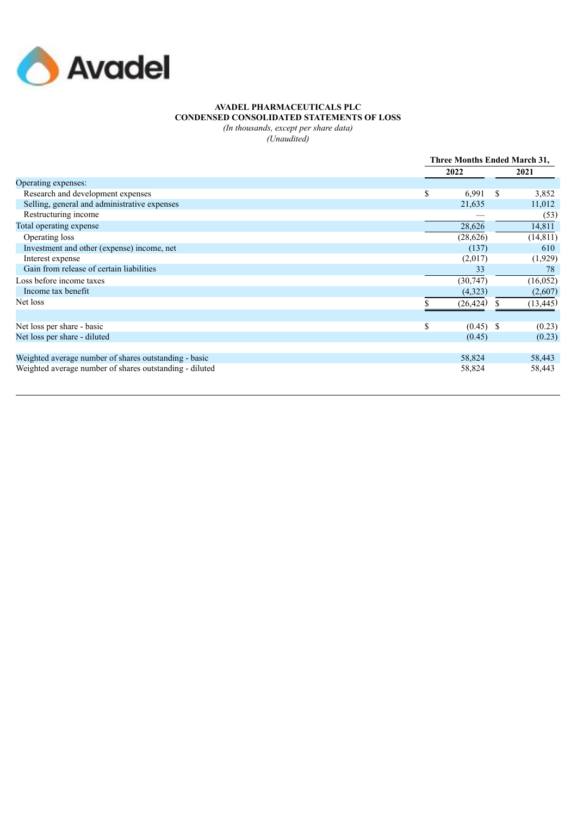

## **AVADEL PHARMACEUTICALS PLC CONDENSED CONSOLIDATED STATEMENTS OF LOSS**

*(In thousands, except per share data)*

*(Unaudited)*

|                                                         | Three Months Ended March 31, |    |           |
|---------------------------------------------------------|------------------------------|----|-----------|
|                                                         | 2022                         |    | 2021      |
| Operating expenses:                                     |                              |    |           |
| Research and development expenses                       | \$<br>6,991                  | -S | 3,852     |
| Selling, general and administrative expenses            | 21,635                       |    | 11,012    |
| Restructuring income                                    |                              |    | (53)      |
| Total operating expense                                 | 28,626                       |    | 14,811    |
| Operating loss                                          | (28, 626)                    |    | (14, 811) |
| Investment and other (expense) income, net              | (137)                        |    | 610       |
| Interest expense                                        | (2,017)                      |    | (1,929)   |
| Gain from release of certain liabilities                | 33                           |    | 78        |
| Loss before income taxes                                | (30, 747)                    |    | (16, 052) |
| Income tax benefit                                      | (4,323)                      |    | (2,607)   |
| Net loss                                                | (26, 424)                    | S  | (13, 445) |
|                                                         |                              |    |           |
| Net loss per share - basic                              | \$<br>$(0.45)$ \$            |    | (0.23)    |
| Net loss per share - diluted                            | (0.45)                       |    | (0.23)    |
| Weighted average number of shares outstanding - basic   | 58,824                       |    | 58,443    |
| Weighted average number of shares outstanding - diluted | 58,824                       |    | 58,443    |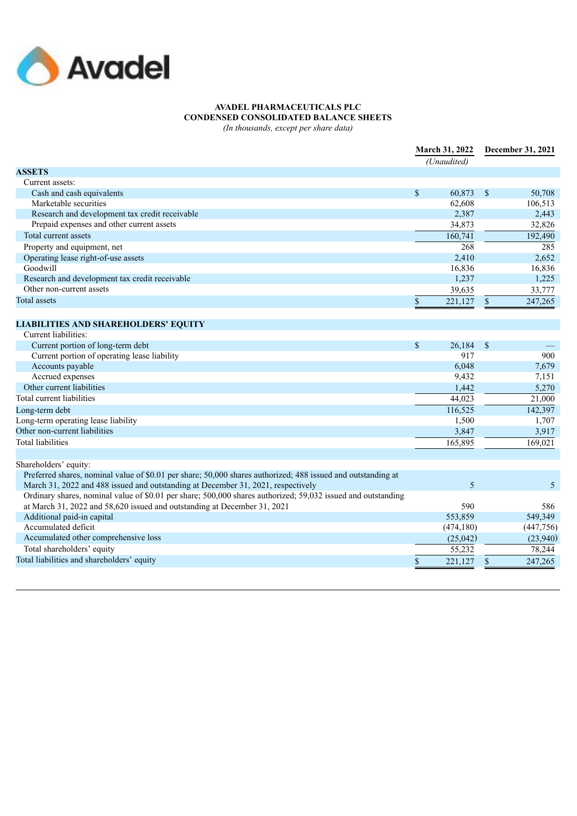

# **AVADEL PHARMACEUTICALS PLC CONDENSED CONSOLIDATED BALANCE SHEETS**

*(In thousands, except per share data)*

|                                                                                                              | March 31, 2022<br>(Unaudited) |                  |                           | December 31, 2021 |  |
|--------------------------------------------------------------------------------------------------------------|-------------------------------|------------------|---------------------------|-------------------|--|
| <b>ASSETS</b>                                                                                                |                               |                  |                           |                   |  |
| Current assets:                                                                                              |                               |                  |                           |                   |  |
| Cash and cash equivalents                                                                                    | \$                            | 60,873           | $\mathbf{\mathcal{S}}$    | 50,708            |  |
| Marketable securities                                                                                        |                               | 62,608           |                           | 106,513           |  |
| Research and development tax credit receivable                                                               |                               | 2,387            |                           | 2,443             |  |
| Prepaid expenses and other current assets                                                                    |                               | 34,873           |                           | 32.826            |  |
| Total current assets                                                                                         |                               | 160,741          |                           | 192,490           |  |
| Property and equipment, net                                                                                  |                               | $\overline{268}$ |                           | 285               |  |
| Operating lease right-of-use assets                                                                          |                               | 2,410            |                           | 2,652             |  |
| Goodwill                                                                                                     |                               | 16,836           |                           | 16,836            |  |
| Research and development tax credit receivable                                                               |                               | 1,237            |                           | 1,225             |  |
| Other non-current assets                                                                                     |                               | 39,635           |                           | 33,777            |  |
| <b>Total assets</b>                                                                                          | \$                            | 221,127          | $\mathbb{S}$              | 247,265           |  |
|                                                                                                              |                               |                  |                           |                   |  |
| <b>LIABILITIES AND SHAREHOLDERS' EQUITY</b>                                                                  |                               |                  |                           |                   |  |
| Current liabilities:                                                                                         |                               |                  |                           |                   |  |
| Current portion of long-term debt                                                                            | $\mathbb{S}$                  | 26,184           | $\mathcal{S}$             |                   |  |
| Current portion of operating lease liability                                                                 |                               | 917              |                           | 900               |  |
| Accounts payable                                                                                             |                               | 6,048            |                           | 7,679             |  |
| Accrued expenses                                                                                             |                               | 9,432            |                           | 7,151             |  |
| Other current liabilities                                                                                    |                               | 1,442            |                           | 5,270             |  |
| Total current liabilities                                                                                    |                               | 44,023           |                           | 21,000            |  |
| Long-term debt                                                                                               |                               | 116,525          |                           | 142,397           |  |
| Long-term operating lease liability                                                                          |                               | 1,500            |                           | 1,707             |  |
| Other non-current liabilities                                                                                |                               | 3,847            |                           | 3,917             |  |
| <b>Total liabilities</b>                                                                                     |                               | 165,895          |                           | 169,021           |  |
|                                                                                                              |                               |                  |                           |                   |  |
| Shareholders' equity:                                                                                        |                               |                  |                           |                   |  |
| Preferred shares, nominal value of \$0.01 per share; 50,000 shares authorized; 488 issued and outstanding at |                               |                  |                           |                   |  |
| March 31, 2022 and 488 issued and outstanding at December 31, 2021, respectively                             |                               | 5                |                           | 5                 |  |
| Ordinary shares, nominal value of \$0.01 per share; 500,000 shares authorized; 59,032 issued and outstanding |                               |                  |                           |                   |  |
| at March 31, 2022 and 58,620 issued and outstanding at December 31, 2021                                     |                               | 590              |                           | 586               |  |
| Additional paid-in capital                                                                                   |                               | 553,859          |                           | 549,349           |  |
| Accumulated deficit                                                                                          |                               | (474, 180)       |                           | (447,756)         |  |
| Accumulated other comprehensive loss                                                                         |                               | (25,042)         |                           | (23,940)          |  |
| Total shareholders' equity                                                                                   |                               | 55,232           |                           | 78,244            |  |
| Total liabilities and shareholders' equity                                                                   | \$                            | 221,127          | $\boldsymbol{\mathsf{S}}$ | 247,265           |  |